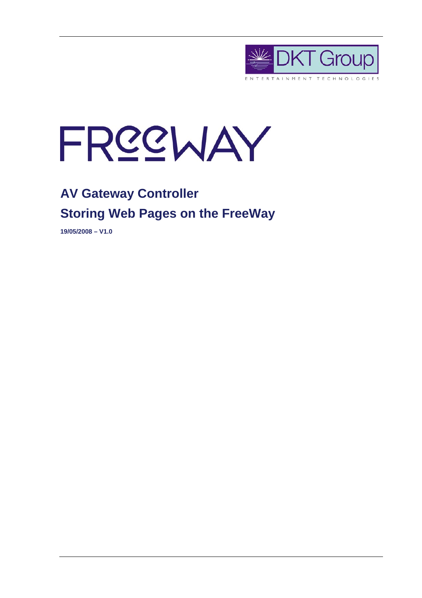



# **AV Gateway Controller Storing Web Pages on the FreeWay**

**19/05/2008 – V1.0**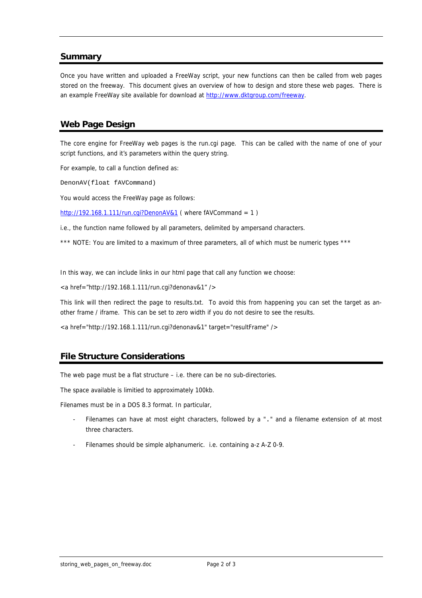#### **Summary**

Once you have written and uploaded a FreeWay script, your new functions can then be called from web pages stored on the freeway. This document gives an overview of how to design and store these web pages. There is an example FreeWay site available for download at http://www.dktgroup.com/freeway.

### **Web Page Design**

The core engine for FreeWay web pages is the run.cgi page. This can be called with the name of one of your script functions, and it's parameters within the query string.

For example, to call a function defined as:

DenonAV(float fAVCommand)

You would access the FreeWay page as follows:

http://192.168.1.111/run.cgi?DenonAV&1 (where fAVCommand = 1)

i.e., the function name followed by all parameters, delimited by ampersand characters.

\*\*\* NOTE: You are limited to a maximum of three parameters, all of which must be numeric types \*\*\*

In this way, we can include links in our html page that call any function we choose:

<a href="http://192.168.1.111/run.cgi?denonav&1" />

This link will then redirect the page to results.txt. To avoid this from happening you can set the target as another frame / iframe. This can be set to zero width if you do not desire to see the results.

<a href="http://192.168.1.111/run.cgi?denonav&1" target="resultFrame" />

#### **File Structure Considerations**

The web page must be a flat structure – i.e. there can be no sub-directories.

The space available is limitied to approximately 100kb.

Filenames must be in a DOS 8.3 format. In particular,

- Filenames can have at most eight characters, followed by a "." and a filename extension of at most three characters.
- Filenames should be simple alphanumeric. i.e. containing a-z A-Z 0-9.